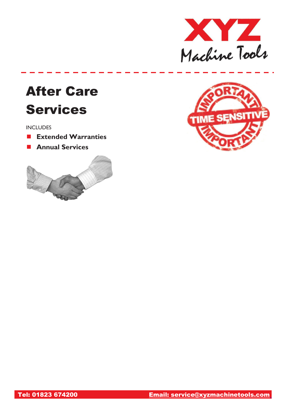

# After Care Services

INCLUDES

- **Extended Warranties**
- **Annual Services**



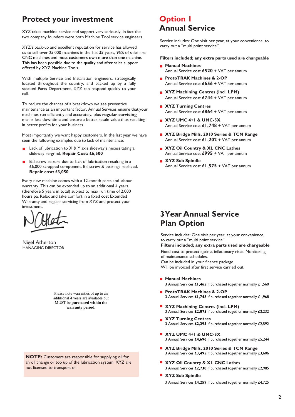## **Protect your investment**

XYZ takes machine service and support very seriously, in fact the two company founders were both Machine Tool service engineers.

XYZ's back-up and excellent reputation for service has allowed us to sell over 25,000 machines in the last 35 years, 95% of sales are CNC machines and most customers own more than one machine. This has been possible due to the quality and after sales support offered by XYZ Machine Tools.

With multiple Service and Installation engineers, strategically located throughout the country, and backed up by a fully stocked Parts Department, XYZ can respond quickly to your call.

To reduce the chances of a breakdown we see preventive maintenance as an important factor. Annual Services ensure that your machines run efficiently and accurately, plus **regular servicing**  means less downtime and ensure a better resale value thus resulting in better profits for your business.

Most importantly we want happy customers. In the last year we have seen the following examples due to lack of maintenance;

- Lack of lubrication to  $X & Y$  axis slideway's necessitating a slideway re-grind. **Repair Cost: £6,500**
- Ballscrew seizure due to lack of lubrication resulting in a £6,000 scrapped component. Ballscrew & bearings replaced. **Repair cost: £3,050**

Every new machine comes with a 12-month parts and labour warranty. This can be extended up to an additional 4 years (therefore 5 years in total) subject to max run time of 2,000 hours pa. Relax and take comfort in a fixed cost Extended Warranty and regular servicing from XYZ and protect your investment.

Nigel Atherton MANAGING DIRECTOR

Please note warranties of up to an additional 4 years are available but MUST be **purchased within the warranty period.**

**NOTE:** Customers are responsible for supplying oil for an oil change or top up of the lubrication system. XYZ are not licensed to transport oil.

# **Option 1 Annual Service**

Service includes: One visit per year, at your convenience, to carry out a "multi point service".

**Filters included; any extra parts used are chargeable**

- **Manual Machines** Annual Service cost **£520** + VAT per annum
- **ProtoTRAK Machines & 2-OP** Annual Service cost **£656** + VAT per annum
- **EXYZ Machining Centres (incl. LPM)** Annual Service cost **£744** + VAT per annum
- **XYZ Turning Centres** Annual Service cost **£864** + VAT per annum
- **XYZ UMC 4+1 & UMC-5X** Annual Service cost **£1,748** + VAT per annum
- **XYZ Bridge Mills, 2010 Series & TCM Range** Annual Service cost **£1,202** + VAT per annum
- **XYZ Oil Country & XL CNC Lathes** Annual Service cost **£995** + VAT per annum
- **XYZ Sub Spindle** Annual Service cost **£1,575** + VAT per annum

# **3Year Annual Service Plan Option**

Service includes: One visit per year, at your convenience, to carry out a "multi point service".

#### **Filters included; any extra parts used are chargeable**

Fixed cost to protect against inflationary rises. Monitoring of maintenance schedules. Can be included in your finance package.

Will be invoiced after first service carried out.

- **Manual Machines** 3 Annual Services **£1,465** if purchased together normally £1,560
- **ProtoTRAK Machines & 2-OP** 3 Annual Services **£1,748** if purchased together normally £1,968
- **XYZ Machining Centres (incl. LPM)** 3 Annual Services **£2,075** if purchased together normally £2,232
- **XYZ Turning Centres** 3 Annual Services **£2,295** if purchased together normally £2,592
- **XYZ UMC 4+1 & UMC-5X** 3 Annual Services **£4,696** if purchased together normally £5,244
- **XYZ Bridge Mills, 2010 Series & TCM Range** 3 Annual Services **£3,495** if purchased together normally £3,606
- **XYZ Oil Country & XL CNC Lathes** 3 Annual Services **£2,730** if purchased together normally £2,985
- **XYZ Sub Spindle** 3 Annual Services **£4,259** if purchased together normally £4,725

2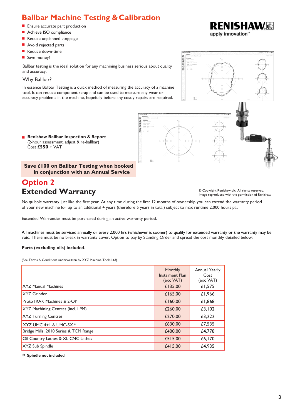# **Ballbar Machine Testing & Calibration**

- **Ensure accurate part production**
- Achieve ISO compliance
- Reduce unplanned stoppage
- Avoid rejected parts
- Reduce down-time
- Save money!

Ballbar testing is the ideal solution for any machining business serious about quality and accuracy.

### Why Ballbar?

In essence Ballbar Testing is a quick method of measuring the accuracy of a machine tool. It can reduce component scrap and can be used to measure any wear or accuracy problems in the machine, hopefully before any costly repairs are required.



#### **Renishaw Ballbar Inspection & Report**  (2-hour assessment, adjust & re-ballbar) Cost **£550** + VAT

### **Save £100 on Ballbar Testing when booked in conjunction with an Annual Service**

# **Option 2 Extended Warranty** © Copyright Renishaw plc. All rights reserved.

Image reproduced with the permission of Renishaw

No quibble warranty just like the first year. At any time during the first 12 months of ownership you can extend the warranty period of your new machine for up to an additional 4 years (therefore 5 years in total) subject to max runtime 2,000 hours pa.

Extended Warranties must be purchased during an active warranty period.

All machines must be serviced annually or every 2,000 hrs (whichever is sooner) to qualify for extended warranty or the warranty may be void. There must be no break in warranty cover. Option to pay by Standing Order and spread the cost monthly detailed below:

### **Parts (excluding oils) included**.

(See Terms & Conditions underwritten by XYZ Machine Tools Ltd)

|                                       | Monthly<br><b>Instalment Plan</b><br>(exc VAT) | Annual Yearly<br>Cost<br>(exc VAT) |
|---------------------------------------|------------------------------------------------|------------------------------------|
| <b>XYZ Manual Machines</b>            | £135.00                                        | £1,575                             |
| <b>XYZ</b> Grinder                    | £165.00                                        | £1,966                             |
| <b>ProtoTRAK Machines &amp; 2-OP</b>  | £160.00                                        | £1,868                             |
| XYZ Machining Centres (incl. LPM)     | £260.00                                        | £3,102                             |
| <b>XYZ Turning Centres</b>            | £270.00                                        | £3,222                             |
| XYZ UMC 4+1 & UMC-5X *                | £630.00                                        | £7,535                             |
| Bridge Mills, 2010 Series & TCM Range | £400.00                                        | £4,778                             |
| Oil Country Lathes & XL CNC Lathes    | £515.00                                        | £6,170                             |
| XYZ Sub Spindle                       | £415.00                                        | £4,935                             |

**\* Spindle not included**

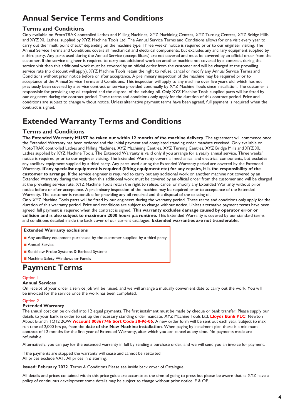# **Annual Service Terms and Conditions**

### **Terms and Conditions**

Only available on ProtoTRAK controlled Lathes and Milling Machines, XYZ Machining Centres, XYZ Turning Centres, XYZ Bridge Mills and XYZ XL Lathes, supplied by XYZ Machine Tools Ltd. The Annual Service Terms and Conditions allows for one visit every year to carry out the "multi point check" depending on the machine type. Three weeks' notice is required prior to our engineer visiting. The Annual Service Terms and Conditions covers all mechanical and electrical components, but excludes any ancillary equipment supplied by a third party. Any parts used during the Annual Service (except filters) are not covered and must be covered by an official order from the customer. If the service engineer is required to carry out additional work on another machine not covered by a contract, during the service visit then this additional work must be covered by an official order from the customer and will be charged at the prevailing service rate (no discount will apply). XYZ Machine Tools retain the right to refuse, cancel or modify any Annual Service Terms and Conditions without prior notice before or after acceptance. A preliminary inspection of the machine may be required prior to acceptance of the Annual Service Terms and Conditions. This inspection will apply to any machine over five years old, which has not previously been covered by a service contract or service provided continually by XYZ Machine Tools since installation. The customer is responsible for providing any oil required and the disposal of the existing oil. Only XYZ Machine Tools supplied parts will be fitted by our engineers during the contract period. These terms and conditions only apply for the duration of this contract period. Price and conditions are subject to change without notice. Unless alternative payment terms have been agreed, full payment is required when the contract is signed.

# **Extended Warranty Terms and Conditions**

### **Terms and Conditions**

**The Extended Warranty MUST be taken out within 12 months of the machine delivery**. The agreement will commence once the Extended Warranty has been ordered and the initial payment and completed standing order mandate received. Only available on ProtoTRAK controlled Lathes and Milling Machines, XYZ Machining Centres, XYZ Turning Centres, XYZ Bridge Mills and XYZ XL Lathes supplied by XYZ Machine Tools. The Extended Warranty is valid only if you arrange for a yearly annual service. Three weeks' notice is required prior to our engineer visiting. The Extended Warranty covers all mechanical and electrical components, but excludes any ancillary equipment supplied by a third party. Any parts used during the Extended Warranty period are covered by the Extended Warranty. **If any specialist equipment is required (lifting equipment etc) for any repairs, it is the responsibility of the customer to arrange.** If the service engineer is required to carry out any additional work on another machine not covered by an Extended Warranty during the visit, then this additional work must be covered by an official order from the customer and will be charged at the prevailing service rate. XYZ Machine Tools retain the right to refuse, cancel or modify any Extended Warranty without prior notice before or after acceptance. A preliminary inspection of the machine may be required prior to acceptance of the Extended Warranty. The customer is responsible for providing any oil required and the disposal of the existing oil.

Only XYZ Machine Tools parts will be fitted by our engineers during the warranty period. These terms and conditions only apply for the duration of this warranty period. Price and conditions are subject to change without notice. Unless alternative payment terms have been agreed, full payment is required when the contract is signed. **This warranty excludes damage caused by operator error or collision and is also subject to maximum 2000 hours p.a runtime.** This Extended Warranty is covered by our standard terms and conditions detailed inside the back cover of our current catalogue. **Extended warranties are not transferable.**

### **Extended Warranty exclusions**

- Any ancillary equipment purchased by the customer supplied by a third party
- Annual Service
- Renishaw Probe Systems & Barfeed Systems
- Machine Safety Windows or Panels

### **Payment Terms**

### Option 1

### **Annual Services**

On receipt of your order a service job will be raised, and we will arrange a mutually convenient date to carry out the work. You will be invoiced for the service once the work has been completed.

### Option 2

### **Extended Warranty**

The annual cost can be divided into 12 equal payments. The first instalment must be made by cheque or bank transfer. Please supply our details to your bank in order to set up the necessary standing order mandate. XYZ Machine Tools Ltd, **Lloyds Bank PLC**, Newton Abbot Branch TQ12 2QW **Account 00367746 Sort Code 30-96-06**, A new order form will be sent out each year, Subject to max run time of 2,000 hrs pa, from the **date of the New Machine installation**. When paying by instalment plan there is a minimum contract of 12 months for the first year of Extended Warranty, after which you can cancel at any time. No payments made are refundable.

Alternatively, you can pay for the extended warranty in full by sending a purchase order, and we will send you an invoice for payment.

If the payments are stopped the warranty will cease and cannot be restarted All prices exclude VAT. All prices in £ sterling.

**Issued: February 2022**. Terms & Conditions Please see inside back cover of Catalogue.

All details and prices contained within this price guide are accurate at the time of going to press but please be aware that as XYZ have a policy of continuous development some details may be subject to change without prior notice. E & OE.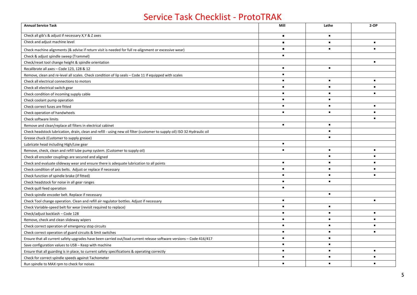# Service Task Checklist - ProtoTRAK

| <b>Annual Service Task</b>                                                                                                | Mill           | Lathe          | $2-OP$         |
|---------------------------------------------------------------------------------------------------------------------------|----------------|----------------|----------------|
| Check all gib's & adjust if necessary X, Y & Z axes                                                                       | $\blacksquare$ | $\blacksquare$ |                |
| Check and adjust machine level                                                                                            | $\blacksquare$ | $\blacksquare$ | $\blacksquare$ |
| Check machine alignments (& advise if return visit is needed for full re-alignment or excessive wear)                     | $\blacksquare$ | $\blacksquare$ | $\blacksquare$ |
| Check & adjust spindle sweep (Trammel)                                                                                    | $\blacksquare$ |                |                |
| Check/reset tool change height & spindle orientation                                                                      |                |                | $\blacksquare$ |
| Recalibrate all axes - Code 123, 128 & 12                                                                                 | $\blacksquare$ | $\blacksquare$ |                |
| Remove, clean and re-level all scales. Check condition of lip seals - Code 11 if equipped with scales                     | $\blacksquare$ |                |                |
| Check all electrical connections to motors                                                                                | $\blacksquare$ | $\blacksquare$ | $\blacksquare$ |
| Check all electrical switch gear                                                                                          | $\blacksquare$ | $\blacksquare$ | $\blacksquare$ |
| Check condition of incoming supply cable                                                                                  | $\blacksquare$ | $\blacksquare$ | $\blacksquare$ |
| Check coolant pump operation                                                                                              | $\blacksquare$ | $\blacksquare$ |                |
| Check correct fuses are fitted                                                                                            | $\blacksquare$ | $\blacksquare$ | $\blacksquare$ |
| Check operation of handwheels                                                                                             | $\blacksquare$ | $\blacksquare$ | $\blacksquare$ |
| Check software limits                                                                                                     |                |                |                |
| Remove and clean/replace all filters in electrical cabinet                                                                | $\blacksquare$ | $\blacksquare$ |                |
| Check headstock lubrication, drain, clean and refill - using new oil filter (customer to supply oil) ISO 32 Hydraulic oil |                | $\blacksquare$ |                |
| Grease chuck (Customer to supply grease)                                                                                  |                | $\blacksquare$ |                |
| Lubricate head including High/Low gear                                                                                    | $\blacksquare$ |                |                |
| Remove, check, clean and refill lube pump system. (Customer to supply oil)                                                |                | $\blacksquare$ | $\blacksquare$ |
| Check all encoder couplings are secured and aligned                                                                       |                | $\blacksquare$ | $\blacksquare$ |
| Check and evaluate slideway wear and ensure there is adequate lubrication to all points                                   | $\blacksquare$ | $\blacksquare$ | $\blacksquare$ |
| Check condition of axis belts. Adjust or replace if necessary                                                             | $\blacksquare$ |                |                |
| Check function of spindle brake (if fitted)                                                                               | $\blacksquare$ | $\blacksquare$ |                |
| Check headstock for noise in all gear ranges                                                                              | $\blacksquare$ | $\blacksquare$ |                |
| Check quill feed operation                                                                                                | $\blacksquare$ |                |                |
| Check spindle encoder belt. Replace if necessary                                                                          |                | $\blacksquare$ |                |
| Check Tool change operation. Clean and refill air regulator bottles. Adjust if necessary                                  | $\blacksquare$ |                | $\blacksquare$ |
| Check Variable-speed belt for wear (revisit required to replace)                                                          | $\blacksquare$ | $\blacksquare$ |                |
| Check/adjust backlash - Code 128                                                                                          | $\blacksquare$ | $\blacksquare$ | $\blacksquare$ |
| Remove, check and clean slideway wipers                                                                                   | $\blacksquare$ | $\blacksquare$ | $\blacksquare$ |
| Check correct operation of emergency stop circuits                                                                        |                | $\blacksquare$ |                |
| Check correct operation of guard circuits & limit switches                                                                | $\blacksquare$ | $\blacksquare$ | $\blacksquare$ |
| Ensure that all current safety upgrades have been carried out/load current release software versions - Code 416/417       | $\blacksquare$ | $\blacksquare$ |                |
| Save configuration values to USB - Keep with machine                                                                      | $\blacksquare$ | $\blacksquare$ |                |
| Ensure that all guarding is in place, to current safety specifications & operating correctly                              | $\blacksquare$ | $\blacksquare$ | $\blacksquare$ |
| Check for correct spindle speeds against Tachometer                                                                       |                | $\blacksquare$ |                |
| Run spindle to MAX rpm to check for noises                                                                                |                | $\blacksquare$ |                |